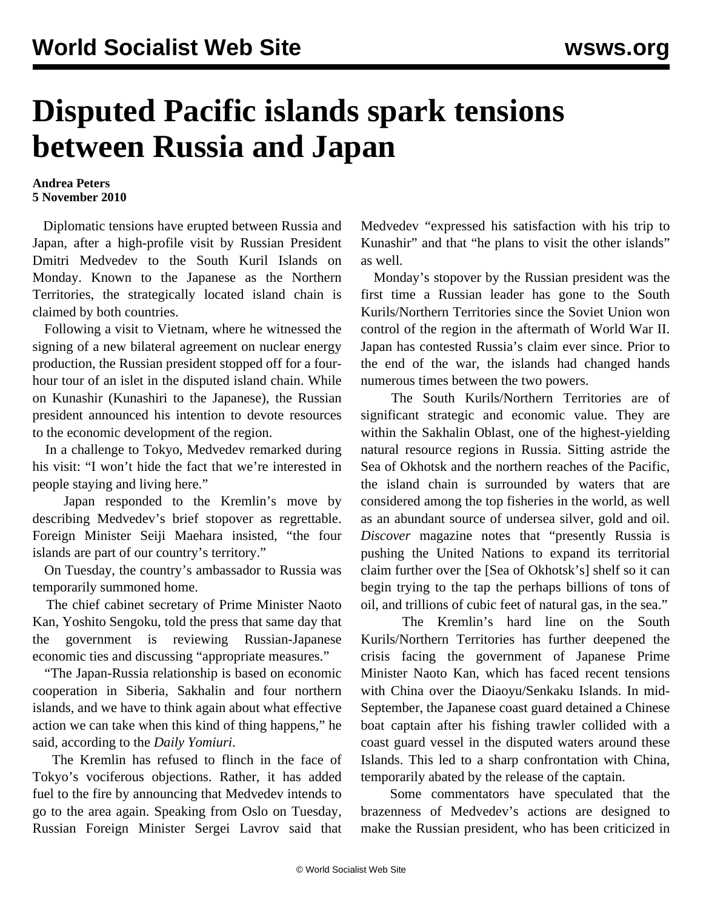## **Disputed Pacific islands spark tensions between Russia and Japan**

## **Andrea Peters 5 November 2010**

 Diplomatic tensions have erupted between Russia and Japan, after a high-profile visit by Russian President Dmitri Medvedev to the South Kuril Islands on Monday. Known to the Japanese as the Northern Territories, the strategically located island chain is claimed by both countries.

 Following a visit to Vietnam, where he witnessed the signing of a new bilateral agreement on nuclear energy production, the Russian president stopped off for a fourhour tour of an islet in the disputed island chain. While on Kunashir (Kunashiri to the Japanese), the Russian president announced his intention to devote resources to the economic development of the region.

 In a challenge to Tokyo, Medvedev remarked during his visit: "I won't hide the fact that we're interested in people staying and living here."

 Japan responded to the Kremlin's move by describing Medvedev's brief stopover as regrettable. Foreign Minister Seiji Maehara insisted, "the four islands are part of our country's territory."

 On Tuesday, the country's ambassador to Russia was temporarily summoned home.

 The chief cabinet secretary of Prime Minister Naoto Kan, Yoshito Sengoku, told the press that same day that the government is reviewing Russian-Japanese economic ties and discussing "appropriate measures."

 "The Japan-Russia relationship is based on economic cooperation in Siberia, Sakhalin and four northern islands, and we have to think again about what effective action we can take when this kind of thing happens," he said, according to the *Daily Yomiuri*.

 The Kremlin has refused to flinch in the face of Tokyo's vociferous objections. Rather, it has added fuel to the fire by announcing that Medvedev intends to go to the area again. Speaking from Oslo on Tuesday, Russian Foreign Minister Sergei Lavrov said that

Medvedev "expressed his satisfaction with his trip to Kunashir" and that "he plans to visit the other islands" as well.

 Monday's stopover by the Russian president was the first time a Russian leader has gone to the South Kurils/Northern Territories since the Soviet Union won control of the region in the aftermath of World War II. Japan has contested Russia's claim ever since. Prior to the end of the war, the islands had changed hands numerous times between the two powers.

 The South Kurils/Northern Territories are of significant strategic and economic value. They are within the Sakhalin Oblast, one of the highest-yielding natural resource regions in Russia. Sitting astride the Sea of Okhotsk and the northern reaches of the Pacific, the island chain is surrounded by waters that are considered among the top fisheries in the world, as well as an abundant source of undersea silver, gold and oil. *Discover* magazine notes that "presently Russia is pushing the United Nations to expand its territorial claim further over the [Sea of Okhotsk's] shelf so it can begin trying to the tap the perhaps billions of tons of oil, and trillions of cubic feet of natural gas, in the sea."

 The Kremlin's hard line on the South Kurils/Northern Territories has further deepened the crisis facing the government of Japanese Prime Minister Naoto Kan, which has faced recent tensions with China over the Diaoyu/Senkaku Islands. In mid-September, the Japanese coast guard detained a Chinese boat captain after his fishing trawler collided with a coast guard vessel in the disputed waters around these Islands. This led to a sharp confrontation with China, temporarily abated by the release of the captain.

 Some commentators have speculated that the brazenness of Medvedev's actions are designed to make the Russian president, who has been criticized in